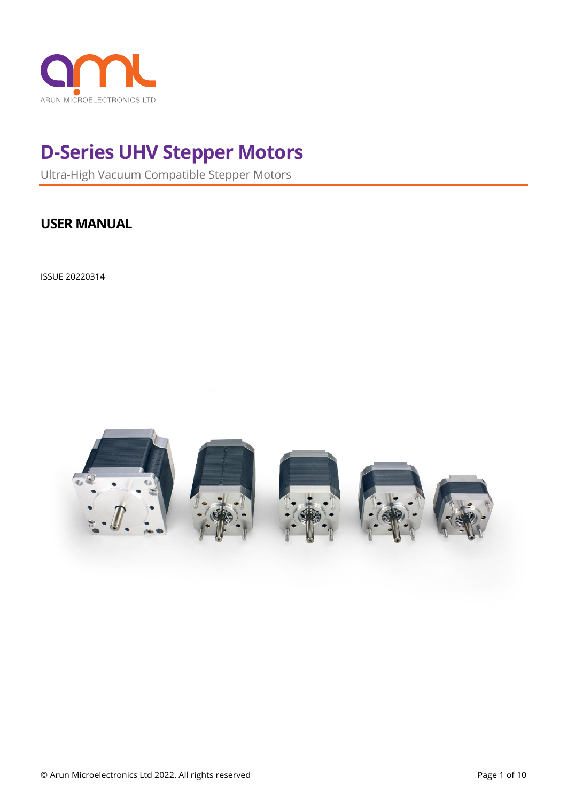

# **D-Series UHV Stepper Motors**

Ultra-High Vacuum Compatible Stepper Motors

## **USER MANUAL**

ISSUE 20220314

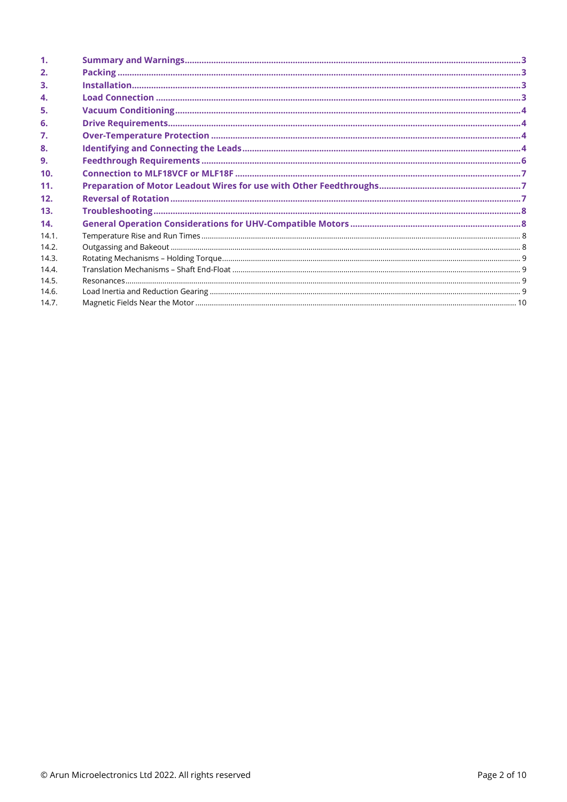| 1 <sub>1</sub> |  |
|----------------|--|
| 2.             |  |
| 3.             |  |
| 4.             |  |
| 5.             |  |
| 6.             |  |
| 7.             |  |
| 8.             |  |
| 9.             |  |
| 10.            |  |
| 11.            |  |
| 12.            |  |
| 13.            |  |
| 14.            |  |
| 14.1.          |  |
| 14.2.          |  |
| 14.3.          |  |
| 14.4.          |  |
| 14.5.          |  |
| 14.6.          |  |
| 14.7.          |  |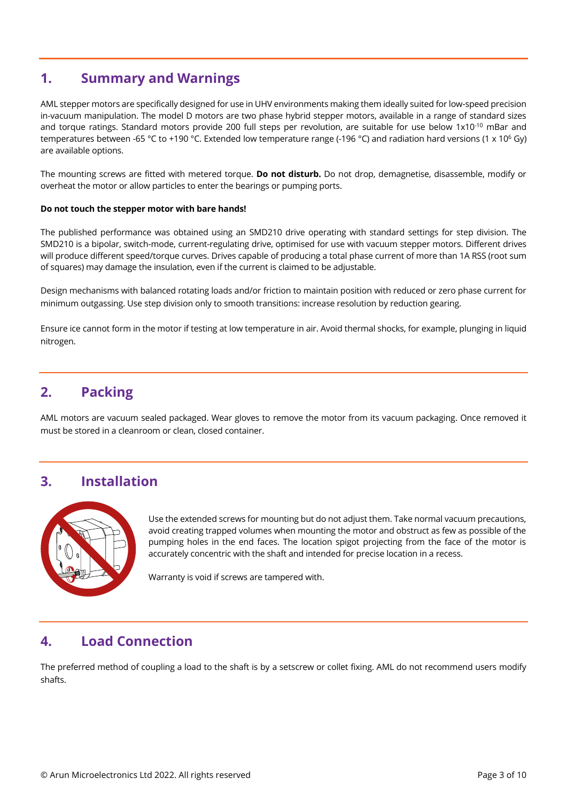## <span id="page-2-0"></span>**1. Summary and Warnings**

AML stepper motors are specifically designed for use in UHV environments making them ideally suited for low-speed precision in-vacuum manipulation. The model D motors are two phase hybrid stepper motors, available in a range of standard sizes and torque ratings. Standard motors provide 200 full steps per revolution, are suitable for use below 1x10<sup>-10</sup> mBar and temperatures between -65 °C to +190 °C. Extended low temperature range (-196 °C) and radiation hard versions (1 x 10<sup>6</sup> Gy) are available options.

The mounting screws are fitted with metered torque. **Do not disturb.** Do not drop, demagnetise, disassemble, modify or overheat the motor or allow particles to enter the bearings or pumping ports.

#### **Do not touch the stepper motor with bare hands!**

The published performance was obtained using an SMD210 drive operating with standard settings for step division. The SMD210 is a bipolar, switch-mode, current-regulating drive, optimised for use with vacuum stepper motors. Different drives will produce different speed/torque curves. Drives capable of producing a total phase current of more than 1A RSS (root sum of squares) may damage the insulation, even if the current is claimed to be adjustable.

Design mechanisms with balanced rotating loads and/or friction to maintain position with reduced or zero phase current for minimum outgassing. Use step division only to smooth transitions: increase resolution by reduction gearing.

Ensure ice cannot form in the motor if testing at low temperature in air. Avoid thermal shocks, for example, plunging in liquid nitrogen.

## <span id="page-2-1"></span>**2. Packing**

AML motors are vacuum sealed packaged. Wear gloves to remove the motor from its vacuum packaging. Once removed it must be stored in a cleanroom or clean, closed container.

## <span id="page-2-2"></span>**3. Installation**



Use the extended screws for mounting but do not adjust them. Take normal vacuum precautions, avoid creating trapped volumes when mounting the motor and obstruct as few as possible of the pumping holes in the end faces. The location spigot projecting from the face of the motor is accurately concentric with the shaft and intended for precise location in a recess.

Warranty is void if screws are tampered with.

### <span id="page-2-3"></span>**4. Load Connection**

The preferred method of coupling a load to the shaft is by a setscrew or collet fixing. AML do not recommend users modify shafts.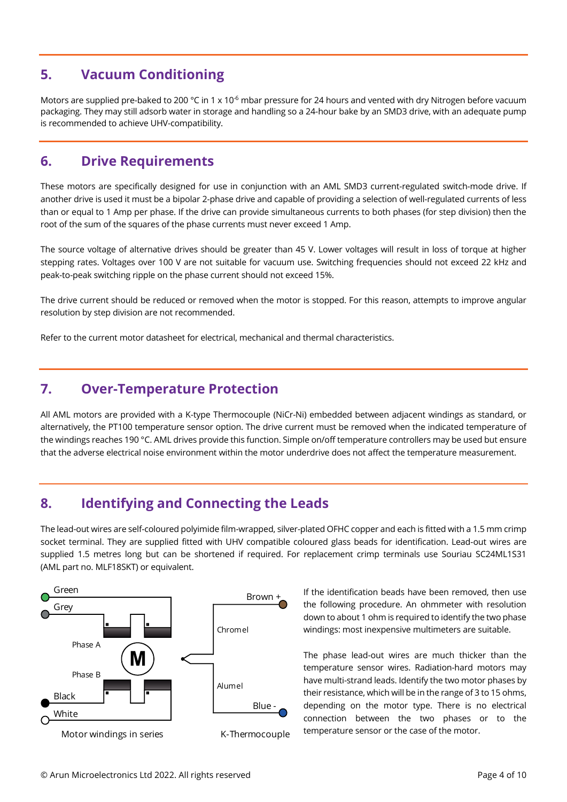## <span id="page-3-0"></span>**5. Vacuum Conditioning**

Motors are supplied pre-baked to 200 °C in 1 x 10<sup>-6</sup> mbar pressure for 24 hours and vented with dry Nitrogen before vacuum packaging. They may still adsorb water in storage and handling so a 24-hour bake by an SMD3 drive, with an adequate pump is recommended to achieve UHV-compatibility.

## <span id="page-3-1"></span>**6. Drive Requirements**

These motors are specifically designed for use in conjunction with an AML SMD3 current-regulated switch-mode drive. If another drive is used it must be a bipolar 2-phase drive and capable of providing a selection of well-regulated currents of less than or equal to 1 Amp per phase. If the drive can provide simultaneous currents to both phases (for step division) then the root of the sum of the squares of the phase currents must never exceed 1 Amp.

The source voltage of alternative drives should be greater than 45 V. Lower voltages will result in loss of torque at higher stepping rates. Voltages over 100 V are not suitable for vacuum use. Switching frequencies should not exceed 22 kHz and peak-to-peak switching ripple on the phase current should not exceed 15%.

The drive current should be reduced or removed when the motor is stopped. For this reason, attempts to improve angular resolution by step division are not recommended.

<span id="page-3-2"></span>Refer to the current motor datasheet for electrical, mechanical and thermal characteristics.

## **7. Over-Temperature Protection**

All AML motors are provided with a K-type Thermocouple (NiCr-Ni) embedded between adjacent windings as standard, or alternatively, the PT100 temperature sensor option. The drive current must be removed when the indicated temperature of the windings reaches 190 °C. AML drives provide this function. Simple on/off temperature controllers may be used but ensure that the adverse electrical noise environment within the motor underdrive does not affect the temperature measurement.

## <span id="page-3-3"></span>**8. Identifying and Connecting the Leads**

The lead-out wires are self-coloured polyimide film-wrapped, silver-plated OFHC copper and each is fitted with a 1.5 mm crimp socket terminal. They are supplied fitted with UHV compatible coloured glass beads for identification. Lead-out wires are supplied 1.5 metres long but can be shortened if required. For replacement crimp terminals use Souriau SC24ML1S31 (AML part no. MLF18SKT) or equivalent.



If the identification beads have been removed, then use the following procedure. An ohmmeter with resolution down to about 1 ohm is required to identify the two phase windings: most inexpensive multimeters are suitable.

The phase lead-out wires are much thicker than the temperature sensor wires. Radiation-hard motors may have multi-strand leads. Identify the two motor phases by their resistance, which will be in the range of 3 to 15 ohms, depending on the motor type. There is no electrical connection between the two phases or to the temperature sensor or the case of the motor.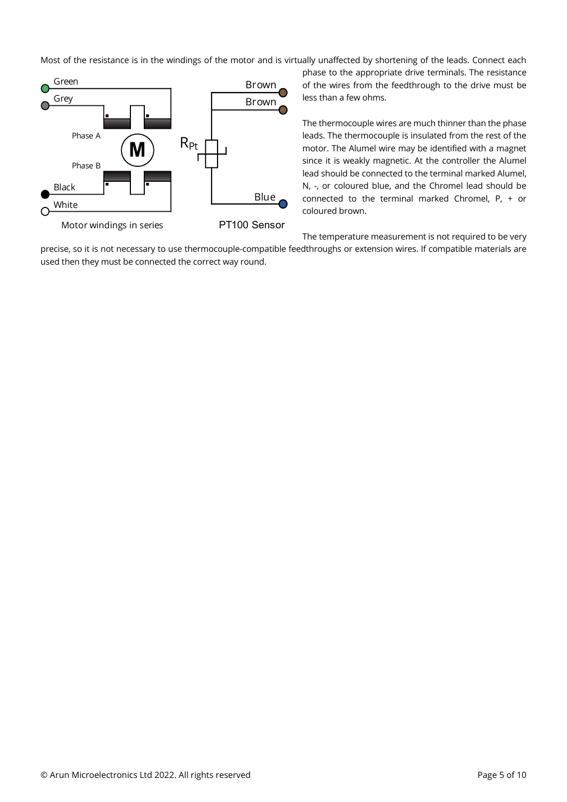Most of the resistance is in the windings of the motor and is virtually unaffected by shortening of the leads. Connect each



phase to the appropriate drive terminals. The resistance of the wires from the feedthrough to the drive must be less than a few ohms.

The thermocouple wires are much thinner than the phase leads. The thermocouple is insulated from the rest of the motor. The Alumel wire may be identified with a magnet since it is weakly magnetic. At the controller the Alumel lead should be connected to the terminal marked Alumel, N, -, or coloured blue, and the Chromel lead should be connected to the terminal marked Chromel, P, + or coloured brown.

The temperature measurement is not required to be very precise, so it is not necessary to use thermocouple-compatible feedthroughs or extension wires. If compatible materials are used then they must be connected the correct way round.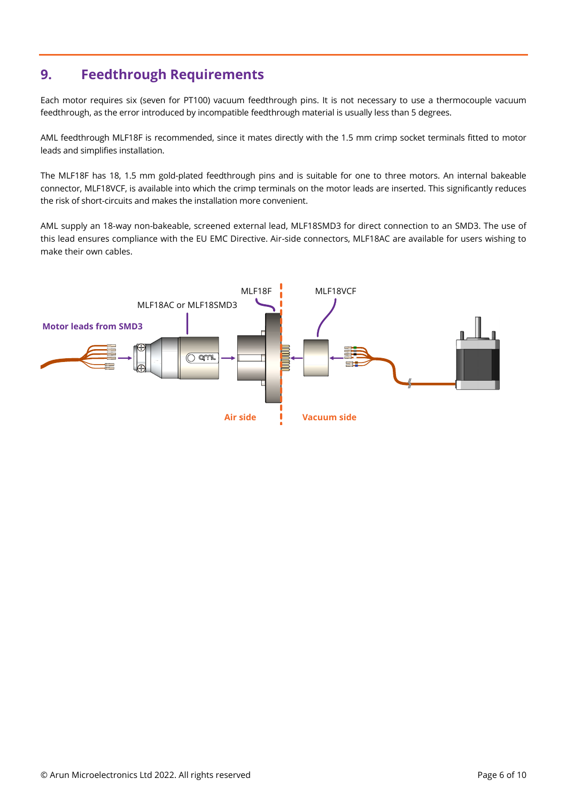## <span id="page-5-0"></span>**9. Feedthrough Requirements**

Each motor requires six (seven for PT100) vacuum feedthrough pins. It is not necessary to use a thermocouple vacuum feedthrough, as the error introduced by incompatible feedthrough material is usually less than 5 degrees.

AML feedthrough MLF18F is recommended, since it mates directly with the 1.5 mm crimp socket terminals fitted to motor leads and simplifies installation.

The MLF18F has 18, 1.5 mm gold-plated feedthrough pins and is suitable for one to three motors. An internal bakeable connector, MLF18VCF, is available into which the crimp terminals on the motor leads are inserted. This significantly reduces the risk of short-circuits and makes the installation more convenient.

AML supply an 18-way non-bakeable, screened external lead, MLF18SMD3 for direct connection to an SMD3. The use of this lead ensures compliance with the EU EMC Directive. Air-side connectors, MLF18AC are available for users wishing to make their own cables.

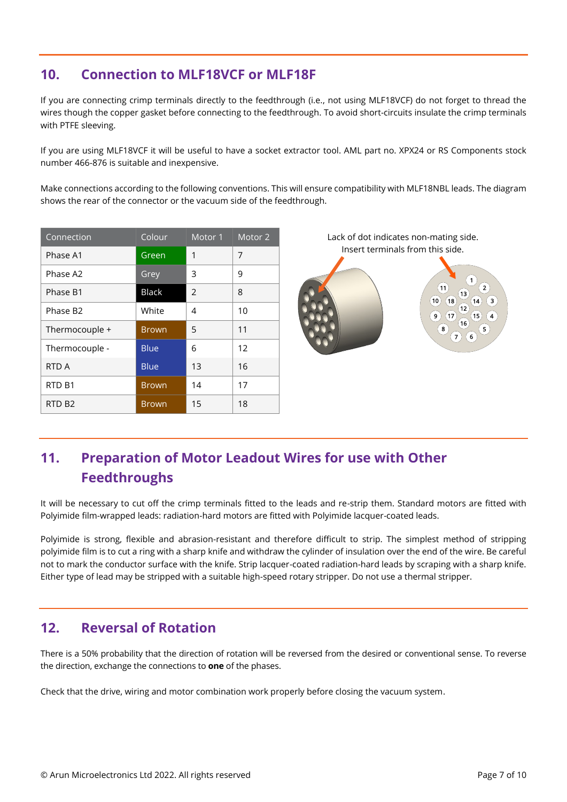## <span id="page-6-0"></span>**10. Connection to MLF18VCF or MLF18F**

If you are connecting crimp terminals directly to the feedthrough (i.e., not using MLF18VCF) do not forget to thread the wires though the copper gasket before connecting to the feedthrough. To avoid short-circuits insulate the crimp terminals with PTFE sleeving.

If you are using MLF18VCF it will be useful to have a socket extractor tool. AML part no. XPX24 or RS Components stock number 466-876 is suitable and inexpensive.

Make connections according to the following conventions. This will ensure compatibility with MLF18NBL leads. The diagram shows the rear of the connector or the vacuum side of the feedthrough.

| Connection           | Colour       | Motor 1        | Motor <sub>2</sub> |
|----------------------|--------------|----------------|--------------------|
| Phase A1             | Green        | 1              | 7                  |
| Phase A2             | Grey         | 3              | 9                  |
| Phase B1             | <b>Black</b> | $\overline{2}$ | 8                  |
| Phase B <sub>2</sub> | White        | 4              | 10                 |
| Thermocouple +       | <b>Brown</b> | 5              | 11                 |
| Thermocouple -       | <b>Blue</b>  | 6              | 12                 |
| RTD A                | <b>Blue</b>  | 13             | 16                 |
| RTD <sub>B1</sub>    | <b>Brown</b> | 14             | 17                 |
| RTD <sub>B2</sub>    | <b>Brown</b> | 15             | 18                 |

Lack of dot indicates non-mating side. Insert terminals from this side.  $(10)(18)$  $(14)$  $\overline{9}$   $\overline{17}$ 

## <span id="page-6-1"></span>**11. Preparation of Motor Leadout Wires for use with Other Feedthroughs**

It will be necessary to cut off the crimp terminals fitted to the leads and re-strip them. Standard motors are fitted with Polyimide film-wrapped leads: radiation-hard motors are fitted with Polyimide lacquer-coated leads.

Polyimide is strong, flexible and abrasion-resistant and therefore difficult to strip. The simplest method of stripping polyimide film is to cut a ring with a sharp knife and withdraw the cylinder of insulation over the end of the wire. Be careful not to mark the conductor surface with the knife. Strip lacquer-coated radiation-hard leads by scraping with a sharp knife. Either type of lead may be stripped with a suitable high-speed rotary stripper. Do not use a thermal stripper.

## <span id="page-6-2"></span>**12. Reversal of Rotation**

There is a 50% probability that the direction of rotation will be reversed from the desired or conventional sense. To reverse the direction, exchange the connections to **one** of the phases.

Check that the drive, wiring and motor combination work properly before closing the vacuum system.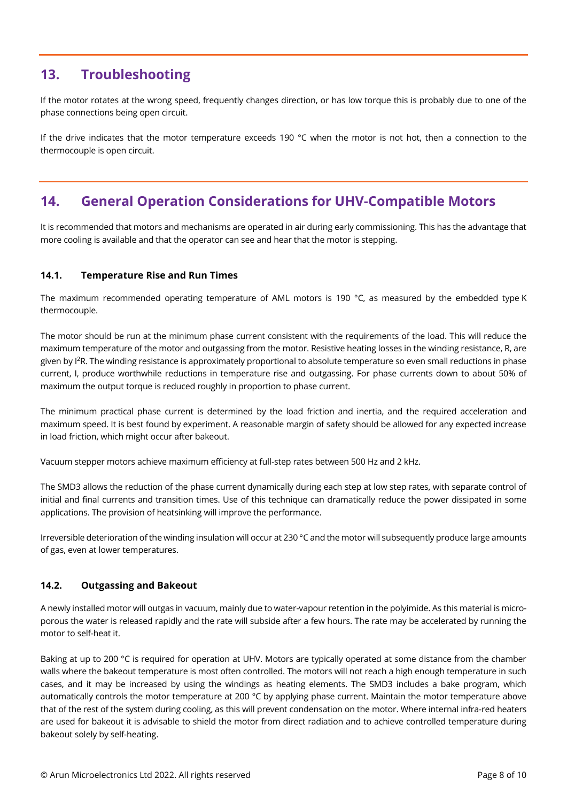## <span id="page-7-0"></span>**13. Troubleshooting**

If the motor rotates at the wrong speed, frequently changes direction, or has low torque this is probably due to one of the phase connections being open circuit.

If the drive indicates that the motor temperature exceeds 190 °C when the motor is not hot, then a connection to the thermocouple is open circuit.

## <span id="page-7-1"></span>**14. General Operation Considerations for UHV-Compatible Motors**

It is recommended that motors and mechanisms are operated in air during early commissioning. This has the advantage that more cooling is available and that the operator can see and hear that the motor is stepping.

### <span id="page-7-2"></span>**14.1. Temperature Rise and Run Times**

The maximum recommended operating temperature of AML motors is 190 °C, as measured by the embedded type K thermocouple.

The motor should be run at the minimum phase current consistent with the requirements of the load. This will reduce the maximum temperature of the motor and outgassing from the motor. Resistive heating losses in the winding resistance, R, are given by I<sup>2</sup>R. The winding resistance is approximately proportional to absolute temperature so even small reductions in phase current, I, produce worthwhile reductions in temperature rise and outgassing. For phase currents down to about 50% of maximum the output torque is reduced roughly in proportion to phase current.

The minimum practical phase current is determined by the load friction and inertia, and the required acceleration and maximum speed. It is best found by experiment. A reasonable margin of safety should be allowed for any expected increase in load friction, which might occur after bakeout.

Vacuum stepper motors achieve maximum efficiency at full-step rates between 500 Hz and 2 kHz.

The SMD3 allows the reduction of the phase current dynamically during each step at low step rates, with separate control of initial and final currents and transition times. Use of this technique can dramatically reduce the power dissipated in some applications. The provision of heatsinking will improve the performance.

Irreversible deterioration of the winding insulation will occur at 230 °C and the motor will subsequently produce large amounts of gas, even at lower temperatures.

### <span id="page-7-3"></span>**14.2. Outgassing and Bakeout**

A newly installed motor will outgas in vacuum, mainly due to water-vapour retention in the polyimide. As this material is microporous the water is released rapidly and the rate will subside after a few hours. The rate may be accelerated by running the motor to self-heat it.

Baking at up to 200 °C is required for operation at UHV. Motors are typically operated at some distance from the chamber walls where the bakeout temperature is most often controlled. The motors will not reach a high enough temperature in such cases, and it may be increased by using the windings as heating elements. The SMD3 includes a bake program, which automatically controls the motor temperature at 200 °C by applying phase current. Maintain the motor temperature above that of the rest of the system during cooling, as this will prevent condensation on the motor. Where internal infra-red heaters are used for bakeout it is advisable to shield the motor from direct radiation and to achieve controlled temperature during bakeout solely by self-heating.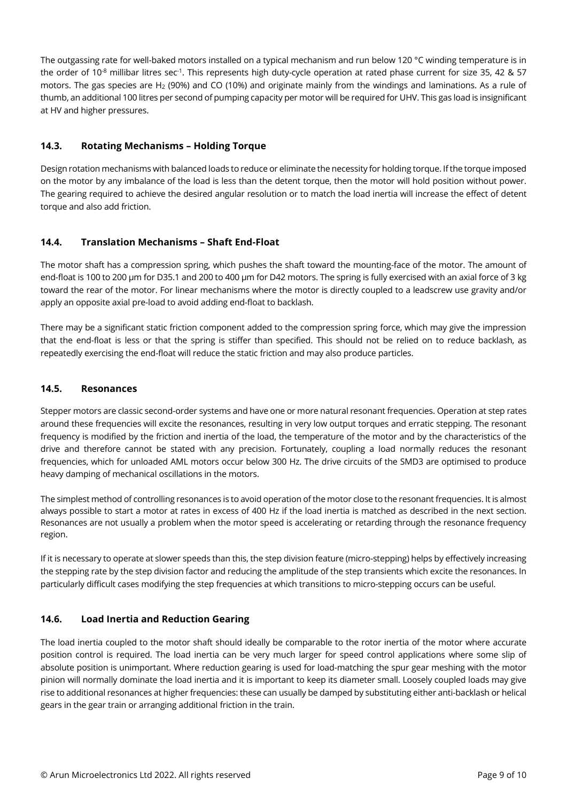The outgassing rate for well-baked motors installed on a typical mechanism and run below 120 °C winding temperature is in the order of 10<sup>-8</sup> millibar litres sec<sup>-1</sup>. This represents high duty-cycle operation at rated phase current for size 35, 42 & 57 motors. The gas species are H<sup>2</sup> (90%) and CO (10%) and originate mainly from the windings and laminations. As a rule of thumb, an additional 100 litres per second of pumping capacity per motor will be required for UHV. This gas load is insignificant at HV and higher pressures.

### <span id="page-8-0"></span>**14.3. Rotating Mechanisms – Holding Torque**

Design rotation mechanisms with balanced loads to reduce or eliminate the necessity for holding torque. If the torque imposed on the motor by any imbalance of the load is less than the detent torque, then the motor will hold position without power. The gearing required to achieve the desired angular resolution or to match the load inertia will increase the effect of detent torque and also add friction.

### <span id="page-8-1"></span>**14.4. Translation Mechanisms – Shaft End-Float**

The motor shaft has a compression spring, which pushes the shaft toward the mounting-face of the motor. The amount of end-float is 100 to 200 µm for D35.1 and 200 to 400 µm for D42 motors. The spring is fully exercised with an axial force of 3 kg toward the rear of the motor. For linear mechanisms where the motor is directly coupled to a leadscrew use gravity and/or apply an opposite axial pre-load to avoid adding end-float to backlash.

There may be a significant static friction component added to the compression spring force, which may give the impression that the end-float is less or that the spring is stiffer than specified. This should not be relied on to reduce backlash, as repeatedly exercising the end-float will reduce the static friction and may also produce particles.

### <span id="page-8-2"></span>**14.5. Resonances**

Stepper motors are classic second-order systems and have one or more natural resonant frequencies. Operation at step rates around these frequencies will excite the resonances, resulting in very low output torques and erratic stepping. The resonant frequency is modified by the friction and inertia of the load, the temperature of the motor and by the characteristics of the drive and therefore cannot be stated with any precision. Fortunately, coupling a load normally reduces the resonant frequencies, which for unloaded AML motors occur below 300 Hz. The drive circuits of the SMD3 are optimised to produce heavy damping of mechanical oscillations in the motors.

The simplest method of controlling resonances is to avoid operation of the motor close to the resonant frequencies. It is almost always possible to start a motor at rates in excess of 400 Hz if the load inertia is matched as described in the next section. Resonances are not usually a problem when the motor speed is accelerating or retarding through the resonance frequency region.

If it is necessary to operate at slower speeds than this, the step division feature (micro-stepping) helps by effectively increasing the stepping rate by the step division factor and reducing the amplitude of the step transients which excite the resonances. In particularly difficult cases modifying the step frequencies at which transitions to micro-stepping occurs can be useful.

### <span id="page-8-3"></span>**14.6. Load Inertia and Reduction Gearing**

The load inertia coupled to the motor shaft should ideally be comparable to the rotor inertia of the motor where accurate position control is required. The load inertia can be very much larger for speed control applications where some slip of absolute position is unimportant. Where reduction gearing is used for load-matching the spur gear meshing with the motor pinion will normally dominate the load inertia and it is important to keep its diameter small. Loosely coupled loads may give rise to additional resonances at higher frequencies: these can usually be damped by substituting either anti-backlash or helical gears in the gear train or arranging additional friction in the train.